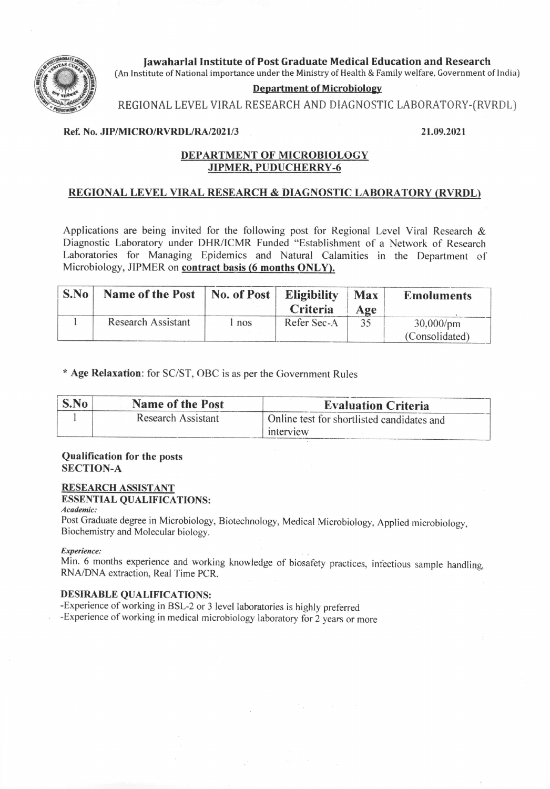

**Iawaharlal Institute of Post Graduate Medical Education and Research** (An Institute of National importance under the Ministry of Health & Family welfare, Government of India)

## **Department of Microbiology**

REGIONAL LEVEL VIRAL RESEARCH AND DIAGNOSTIC LABORATORY-(RVRDL)

## Ref. No. JIP/MICRO/RVRDL/RA/2021/3

## 21.09.2021

## DEPARTMENT OF MICROBIOLOGY **JIPMER, PUDUCHERRY-6**

## REGIONAL LEVEL VIRAL RESEARCH & DIAGNOSTIC LABORATORY (RVRDL)

Applications are being invited for the following post for Regional Level Viral Research & Diagnostic Laboratory under DHR/ICMR Funded "Establishment of a Network of Research Laboratories for Managing Epidemics and Natural Calamities in the Department of Microbiology, JIPMER on contract basis (6 months ONLY).

| S.No | <b>Name of the Post</b> | No. of Post | <b>Eligibility</b><br>Criteria | <b>Max</b><br>Age | <b>Emoluments</b>              |
|------|-------------------------|-------------|--------------------------------|-------------------|--------------------------------|
|      | Research Assistant      | nos         | Refer Sec-A                    |                   | $30,000$ /pm<br>(Consolidated) |

\* Age Relaxation: for SC/ST, OBC is as per the Government Rules

| $\mathbf{S}.\mathbf{No}$ | <b>Name of the Post</b> | <b>Evaluation Criteria</b>                              |
|--------------------------|-------------------------|---------------------------------------------------------|
|                          | Research Assistant      | Online test for shortlisted candidates and<br>interview |

## **Qualification for the posts SECTION-A**

# **RESEARCH ASSISTANT**

#### **ESSENTIAL QUALIFICATIONS:** Academic:

Post Graduate degree in Microbiology, Biotechnology, Medical Microbiology, Applied microbiology, Biochemistry and Molecular biology.

### Experience:

Min. 6 months experience and working knowledge of biosafety practices, infectious sample handling, RNA/DNA extraction, Real Time PCR.

## **DESIRABLE QUALIFICATIONS:**

-Experience of working in BSL-2 or 3 level laboratories is highly preferred

-Experience of working in medical microbiology laboratory for 2 years or more